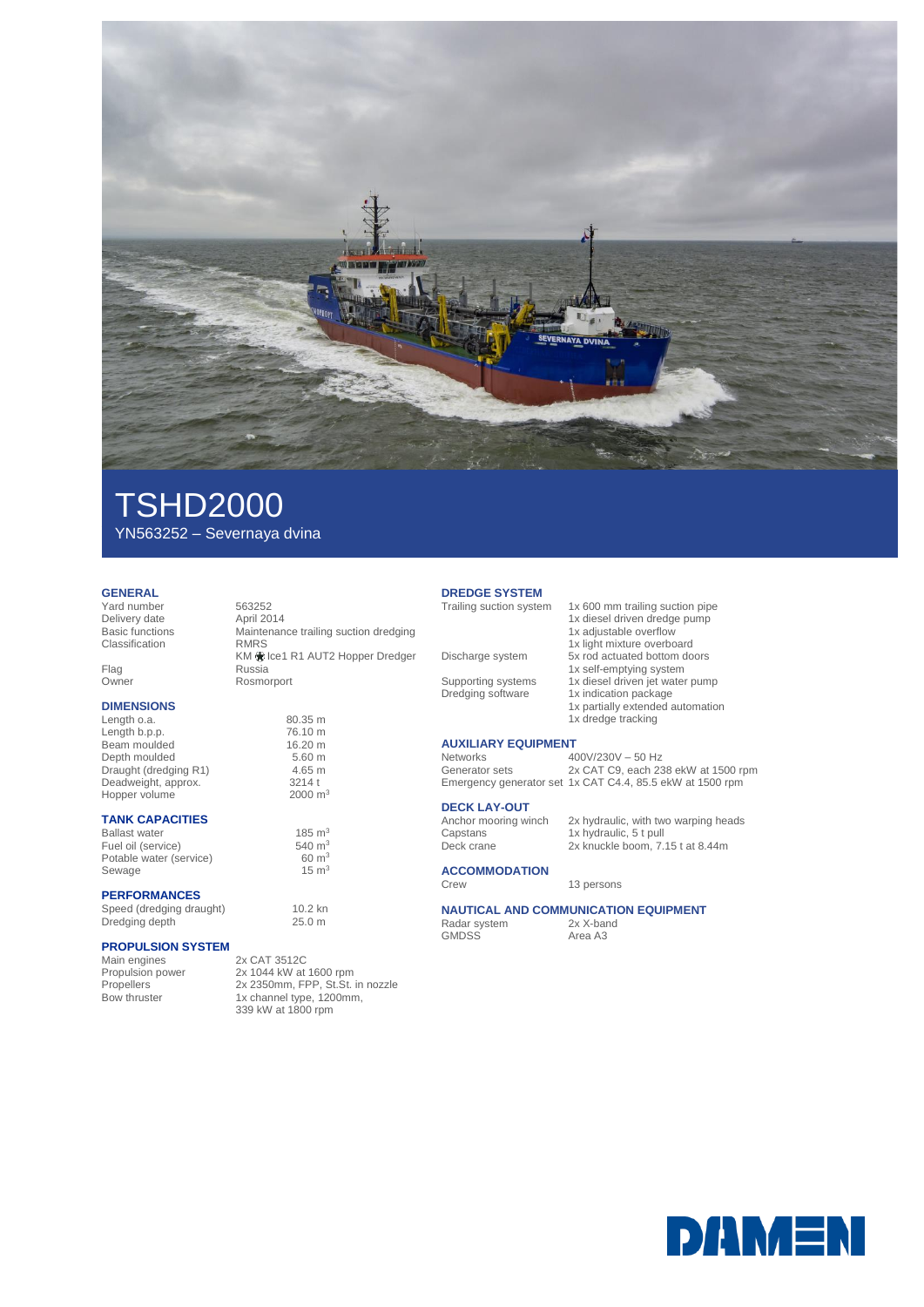

# TSHD2000 YN563252 – Severnaya dvina

### **GENERAL**

z

Yard number 563252 Delivery date<br>Basic functions Classification

Flag Russia Owner Rosmorport

### **DIMENSIONS**

Length o.a. 80.35 m<br>
Length b.p.p. 76.10 m Length b.p.p.<br>Beam moulded 6.20 m Beam moulded 16.20 m<br>Depth moulded 5.60 m Depth moulded 5.60 m<br>Draught (dredging R1) 4.65 m Draught (dredging R1) Deadweight, approx. 3214 t<br>Hopper volume 2000 m<sup>3</sup> Hopper volume

#### **TANK CAPACITIES**

Ballast water  $185 \text{ m}^3$ <br>
Fuel oil (service)  $540 \text{ m}^3$ Fuel oil (service)  $540 \text{ m}^3$ <br>
Potable water (service)  $60 \text{ m}^3$ Potable water (service) 60 m<sup>3</sup><br>Sewage 15 m<sup>3</sup> Sewage

### **PERFORMANCES**

Speed (dredging draught) 10.2 kn<br>Dredging depth 25.0 m Dredging depth

### **PROPULSION SYSTEM**

Main engines<br>
Propulsion power<br>
2x 1044 kW at

Propulsion power 2x 1044 kW at 1600 rpm Propellers 2x 2350mm, FPP, St.St. in nozzle Bow thruster 1x channel type, 1200mm, 339 kW at 1800 rpm

Maintenance trailing suction dredging<br>RMRS

KM  $)$  Ice1 R1 AUT2 Hopper Dredger

## **DREDGE SYSTEM**

Discharge system 5x rod actuated bottom doors

Supporting systems 1x diesel driven jet water pump Dredging software 1x indication package

# **AUXILIARY EQUIPMENT**

Networks 400V/230V – 50 Hz<br>Generator sets 2x CAT C9, each 23

### **DECK LAY-OUT**

Anchor mooring winch<br>Capstans<br>Deck crane

**ACCOMMODATION**

# **NAUTICAL AND COMMUNICATION EQUIPMENT**<br>Radar system 2x X-band

Radar system<br>GMDSS

Area A3

2x CAT C9, each 238 ekW at 1500 rpm Emergency generator set 1x CAT C4.4, 85.5 ekW at 1500 rpm

2x hydraulic, with two warping heads<br>1x hydraulic, 5 t pull 2x knuckle boom, 7.15 t at 8.44m

1x 600 mm trailing suction pipe 1x diesel driven dredge pump 1x adjustable overflow 1x light mixture overboard

1x partially extended automation

1x self-emptying system

1x dredge tracking

Crew 13 persons